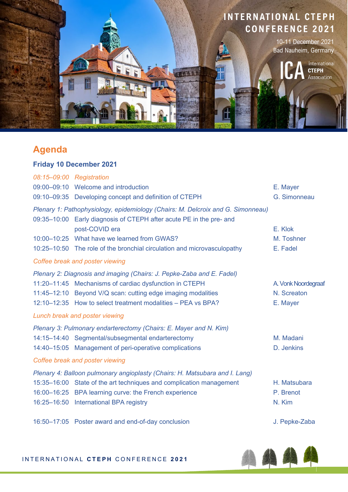

### **Agenda**

#### **Friday 10 December 2021**

| 08:15-09:00 Registration                                                                                                                               |                                                                         |                     |  |
|--------------------------------------------------------------------------------------------------------------------------------------------------------|-------------------------------------------------------------------------|---------------------|--|
|                                                                                                                                                        | 09:00-09:10 Welcome and introduction                                    | E. Mayer            |  |
|                                                                                                                                                        | 09:10-09:35 Developing concept and definition of CTEPH                  | G. Simonneau        |  |
| Plenary 1: Pathophysiology, epidemiology (Chairs: M. Delcroix and G. Simonneau)<br>09:35-10:00 Early diagnosis of CTEPH after acute PE in the pre- and |                                                                         |                     |  |
|                                                                                                                                                        | post-COVID era                                                          | E. Klok             |  |
|                                                                                                                                                        | 10:00-10:25 What have we learned from GWAS?                             | M. Toshner          |  |
|                                                                                                                                                        | 10:25-10:50 The role of the bronchial circulation and microvasculopathy | E. Fadel            |  |
|                                                                                                                                                        | Coffee break and poster viewing                                         |                     |  |
| Plenary 2: Diagnosis and imaging (Chairs: J. Pepke-Zaba and E. Fadel)                                                                                  |                                                                         |                     |  |
|                                                                                                                                                        | 11:20-11:45 Mechanisms of cardiac dysfunction in CTEPH                  | A. Vonk Noordegraaf |  |
|                                                                                                                                                        | 11:45-12:10 Beyond V/Q scan: cutting edge imaging modalities            | N. Screaton         |  |
|                                                                                                                                                        | 12:10-12:35 How to select treatment modalities - PEA vs BPA?            | E. Mayer            |  |
| Lunch break and poster viewing                                                                                                                         |                                                                         |                     |  |
| Plenary 3: Pulmonary endarterectomy (Chairs: E. Mayer and N. Kim)                                                                                      |                                                                         |                     |  |
|                                                                                                                                                        | 14:15-14:40 Segmental/subsegmental endarterectomy                       | M. Madani           |  |
|                                                                                                                                                        | 14:40-15:05 Management of peri-operative complications                  | D. Jenkins          |  |
| Coffee break and poster viewing                                                                                                                        |                                                                         |                     |  |
| Plenary 4: Balloon pulmonary angioplasty (Chairs: H. Matsubara and I. Lang)                                                                            |                                                                         |                     |  |
|                                                                                                                                                        | 15:35-16:00 State of the art techniques and complication management     | H. Matsubara        |  |
|                                                                                                                                                        | 16:00-16:25 BPA learning curve: the French experience                   | P. Brenot           |  |
|                                                                                                                                                        | 16:25-16:50 International BPA registry                                  | N. Kim              |  |
|                                                                                                                                                        |                                                                         |                     |  |

16:50–17:05 Poster award and end-of-day conclusion and the state of the J. Pepke-Zaba

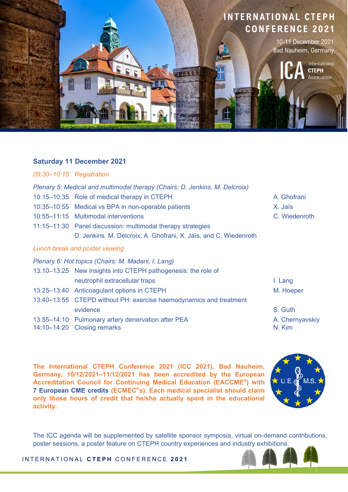

#### **Saturday 11 December 2021**

#### *09:30–10:15 Registration*

- *Plenary 5: Medical and multimodal therapy (Chairs: D. Jenkins, M. Delcroix)*
- 10:15–10:35 Role of medical therapy in CTEPH A. Ghofrani
- 10:35–10:55 Medical vs BPA in non-operable patients X. Jaïs
- 10:55–11:15 Multimodal interventions C. Wiedenroth
- 11:15–11:30 Panel discussion: multimodal therapy strategies D. Jenkins. M. Delcroix, A. Ghofrani, X. Jaïs, and C. Wiedenroth

#### *Lunch break and poster viewing*

*Plenary 6: Hot topics (Chairs: M. Madani, I. Lang)*

|  | 13:10–13:25 New insights into CTEPH pathogenesis: the role of      |                 |
|--|--------------------------------------------------------------------|-----------------|
|  | neutrophil extracellular traps                                     | I. Lang         |
|  | 13:25-13:40 Anticoagulant options in CTEPH                         | M. Hoeper       |
|  | 13:40-13:55 CTEPD without PH: exercise haemodynamics and treatment |                 |
|  | evidence                                                           | S. Guth         |
|  | 13:55-14:10 Pulmonary artery denervation after PEA                 | A. Chernyavskiy |
|  | 14:10-14:20 Closing remarks                                        | N. Kim          |

**The International CTEPH Conference 2021 (ICC 2021), Bad Nauheim, Germany, 10/12/2021–11/12/2021 has been accredited by the European Accreditation Council for Continuing Medical Education (EACCME®) with 7 European CME credits (ECMEC®s). Each medical specialist should claim only those hours of credit that he/she actually spent in the educational activity.**



The ICC agenda will be supplemented by satellite sponsor symposia, virtual on-demand contributions, poster sessions, a poster feature on CTEPH country experiences and industry exhibitions.

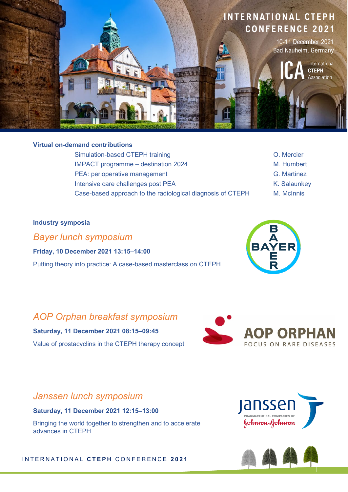

#### **Virtual on-demand contributions**

Simulation-based CTEPH training Communication-based CTEPH training Communication-IMPACT programme – destination 2024 M. Humbert PEA: perioperative management G. Martinez Intensive care challenges post PEA K. Salaunkey Case-based approach to the radiological diagnosis of CTEPH M. McInnis

- 
- 
- 
- 

#### **Industry symposia**

*Bayer lunch symposium*

**Friday, 10 December 2021 13:15–14:00**  Putting theory into practice: A case-based masterclass on CTEPH

# BAYER<br>BAYER<br>R

### *AOP Orphan breakfast symposium* **Saturday, 11 December 2021 08:15–09:45**

Value of prostacyclins in the CTEPH therapy concept





**Saturday, 11 December 2021 12:15–13:00**

Bringing the world together to strengthen and to accelerate advances in CTEPH



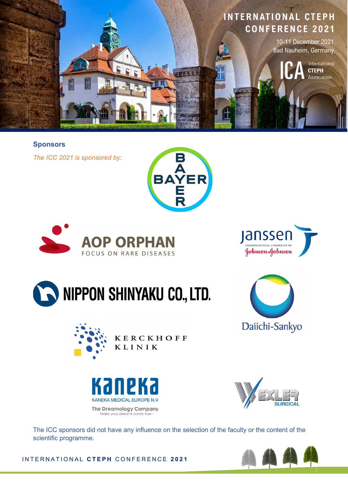

**Sponsors** 

*The ICC 2021 is sponsored by:*







## NIPPON SHINYAKU CO., LTD.







Daiichi-Sankyo

The ICC sponsors did not have any influence on the selection of the faculty or the content of the scientific programme.